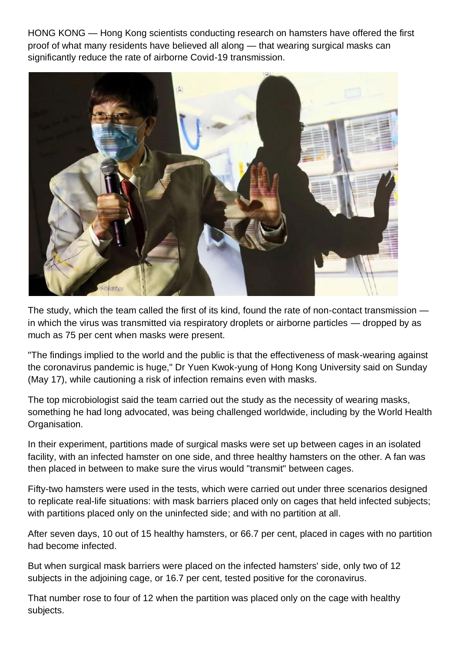HONG KONG — Hong Kong scientists conducting research on hamsters have offered the first proof of what many residents have believed all along — that wearing surgical masks can significantly reduce the rate of airborne Covid-19 transmission.



The study, which the team called the first of its kind, found the rate of non-contact transmission in which the virus was transmitted via respiratory droplets or airborne particles — dropped by as much as 75 per cent when masks were present.

"The findings implied to the world and the public is that the effectiveness of mask-wearing against the coronavirus pandemic is huge," Dr Yuen Kwok-yung of Hong Kong University said on Sunday (May 17), while cautioning a risk of infection remains even with masks.

The top microbiologist said the team carried out the study as the necessity of wearing masks, something he had long advocated, was being challenged worldwide, including by the World Health Organisation.

In their experiment, partitions made of surgical masks were set up between cages in an isolated facility, with an infected hamster on one side, and three healthy hamsters on the other. A fan was then placed in between to make sure the virus would "transmit" between cages.

Fifty-two hamsters were used in the tests, which were carried out under three scenarios designed to replicate real-life situations: with mask barriers placed only on cages that held infected subjects; with partitions placed only on the uninfected side; and with no partition at all.

After seven days, 10 out of 15 healthy hamsters, or 66.7 per cent, placed in cages with no partition had become infected.

But when surgical mask barriers were placed on the infected hamsters' side, only two of 12 subjects in the adjoining cage, or 16.7 per cent, tested positive for the coronavirus.

That number rose to four of 12 when the partition was placed only on the cage with healthy subjects.